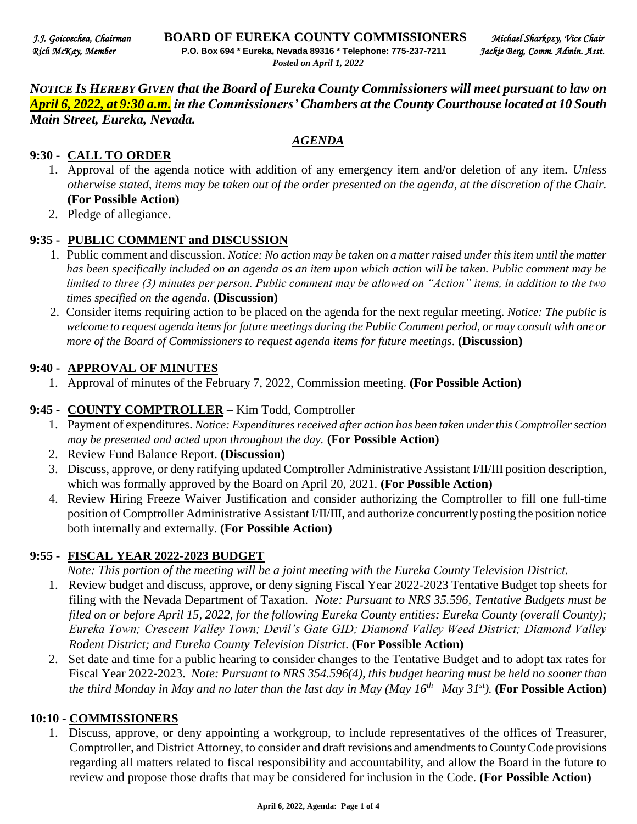*NOTICE IS HEREBY GIVEN that the Board of Eureka County Commissioners will meet pursuant to law on April 6, 2022, at 9:30 a.m. in the Commissioners' Chambers at the County Courthouse located at 10 South Main Street, Eureka, Nevada.* 

*AGENDA*

#### **9:30 - CALL TO ORDER**

- 1. Approval of the agenda notice with addition of any emergency item and/or deletion of any item. *Unless otherwise stated, items may be taken out of the order presented on the agenda, at the discretion of the Chair.* **(For Possible Action)**
- 2. Pledge of allegiance.

#### **9:35 - PUBLIC COMMENT and DISCUSSION**

- 1. Public comment and discussion. *Notice: No action may be taken on a matter raised under this item until the matter has been specifically included on an agenda as an item upon which action will be taken. Public comment may be limited to three (3) minutes per person. Public comment may be allowed on "Action" items, in addition to the two times specified on the agenda.* **(Discussion)**
- 2. Consider items requiring action to be placed on the agenda for the next regular meeting. *Notice: The public is*  welcome to request agenda items for future meetings during the Public Comment period, or may consult with one or *more of the Board of Commissioners to request agenda items for future meetings*. **(Discussion)**

#### **9:40 - APPROVAL OF MINUTES**

1. Approval of minutes of the February 7, 2022, Commission meeting. **(For Possible Action)** 

#### **9:45 - COUNTY COMPTROLLER –** Kim Todd, Comptroller

- 1. Payment of expenditures. *Notice: Expenditures received after action has been taken under this Comptroller section may be presented and acted upon throughout the day.* **(For Possible Action)**
- 2. Review Fund Balance Report. **(Discussion)**
- 3. Discuss, approve, or deny ratifying updated Comptroller Administrative Assistant I/II/III position description, which was formally approved by the Board on April 20, 2021. **(For Possible Action)**
- 4. Review Hiring Freeze Waiver Justification and consider authorizing the Comptroller to fill one full-time position of Comptroller Administrative Assistant I/II/III, and authorize concurrently posting the position notice both internally and externally. **(For Possible Action)**

#### **9:55 - FISCAL YEAR 2022-2023 BUDGET**

*Note: This portion of the meeting will be a joint meeting with the Eureka County Television District.* 

- 1. Review budget and discuss, approve, or deny signing Fiscal Year 2022-2023 Tentative Budget top sheets for filing with the Nevada Department of Taxation. *Note: Pursuant to NRS 35.596, Tentative Budgets must be filed on or before April 15, 2022, for the following Eureka County entities: Eureka County (overall County); Eureka Town; Crescent Valley Town; Devil's Gate GID; Diamond Valley Weed District; Diamond Valley Rodent District; and Eureka County Television District*. **(For Possible Action)**
- 2. Set date and time for a public hearing to consider changes to the Tentative Budget and to adopt tax rates for Fiscal Year 2022-2023. *Note: Pursuant to NRS 354.596(4), this budget hearing must be held no sooner than the third Monday in May and no later than the last day in May (May 16th – May 31st).* **(For Possible Action)**

#### **10:10 - COMMISSIONERS**

1. Discuss, approve, or deny appointing a workgroup, to include representatives of the offices of Treasurer, Comptroller, and District Attorney, to consider and draft revisions and amendments to County Code provisions regarding all matters related to fiscal responsibility and accountability, and allow the Board in the future to review and propose those drafts that may be considered for inclusion in the Code. **(For Possible Action)**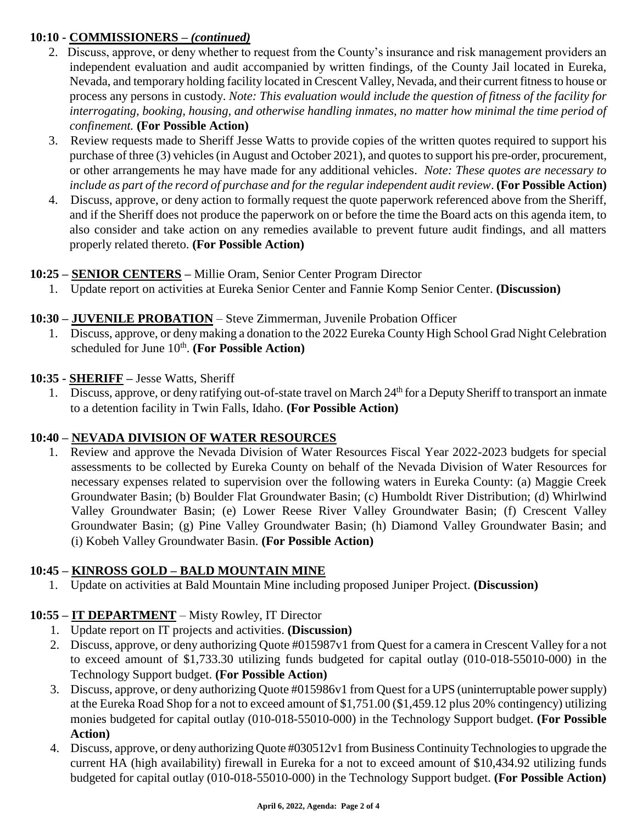# **10:10 - COMMISSIONERS** *– (continued)*

- 2. Discuss, approve, or deny whether to request from the County's insurance and risk management providers an independent evaluation and audit accompanied by written findings, of the County Jail located in Eureka, Nevada, and temporary holding facility located in Crescent Valley, Nevada, and their current fitness to house or process any persons in custody. *Note: This evaluation would include the question of fitness of the facility for interrogating, booking, housing, and otherwise handling inmates, no matter how minimal the time period of confinement.* **(For Possible Action)**
- 3. Review requests made to Sheriff Jesse Watts to provide copies of the written quotes required to support his purchase of three (3) vehicles (in August and October 2021), and quotes to support his pre-order, procurement, or other arrangements he may have made for any additional vehicles. *Note: These quotes are necessary to include as part of the record of purchase and for the regular independent audit review*. **(For Possible Action)**
- 4. Discuss, approve, or deny action to formally request the quote paperwork referenced above from the Sheriff, and if the Sheriff does not produce the paperwork on or before the time the Board acts on this agenda item, to also consider and take action on any remedies available to prevent future audit findings, and all matters properly related thereto. **(For Possible Action)**

## **10:25 – SENIOR CENTERS –** Millie Oram, Senior Center Program Director

1. Update report on activities at Eureka Senior Center and Fannie Komp Senior Center. **(Discussion)**

## **10:30 – JUVENILE PROBATION** – Steve Zimmerman, Juvenile Probation Officer

1. Discuss, approve, or deny making a donation to the 2022 Eureka County High School Grad Night Celebration scheduled for June 10<sup>th</sup>. (For Possible Action)

#### **10:35 - SHERIFF –** Jesse Watts, Sheriff

1. Discuss, approve, or deny ratifying out-of-state travel on March 24<sup>th</sup> for a Deputy Sheriff to transport an inmate to a detention facility in Twin Falls, Idaho. **(For Possible Action)** 

## **10:40 – NEVADA DIVISION OF WATER RESOURCES**

1. Review and approve the Nevada Division of Water Resources Fiscal Year 2022-2023 budgets for special assessments to be collected by Eureka County on behalf of the Nevada Division of Water Resources for necessary expenses related to supervision over the following waters in Eureka County: (a) Maggie Creek Groundwater Basin; (b) Boulder Flat Groundwater Basin; (c) Humboldt River Distribution; (d) Whirlwind Valley Groundwater Basin; (e) Lower Reese River Valley Groundwater Basin; (f) Crescent Valley Groundwater Basin; (g) Pine Valley Groundwater Basin; (h) Diamond Valley Groundwater Basin; and (i) Kobeh Valley Groundwater Basin. **(For Possible Action)**

## **10:45 – KINROSS GOLD – BALD MOUNTAIN MINE**

1. Update on activities at Bald Mountain Mine including proposed Juniper Project. **(Discussion)** 

## **10:55 – IT DEPARTMENT** – Misty Rowley, IT Director

- 1. Update report on IT projects and activities. **(Discussion)**
- 2. Discuss, approve, or deny authorizing Quote #015987v1 from Quest for a camera in Crescent Valley for a not to exceed amount of \$1,733.30 utilizing funds budgeted for capital outlay (010-018-55010-000) in the Technology Support budget. **(For Possible Action)**
- 3. Discuss, approve, or deny authorizing Quote #015986v1 from Quest for a UPS (uninterruptable power supply) at the Eureka Road Shop for a not to exceed amount of \$1,751.00 (\$1,459.12 plus 20% contingency) utilizing monies budgeted for capital outlay (010-018-55010-000) in the Technology Support budget. **(For Possible Action)**
- 4. Discuss, approve, or deny authorizing Quote #030512v1 from Business Continuity Technologies to upgrade the current HA (high availability) firewall in Eureka for a not to exceed amount of \$10,434.92 utilizing funds budgeted for capital outlay (010-018-55010-000) in the Technology Support budget. **(For Possible Action)**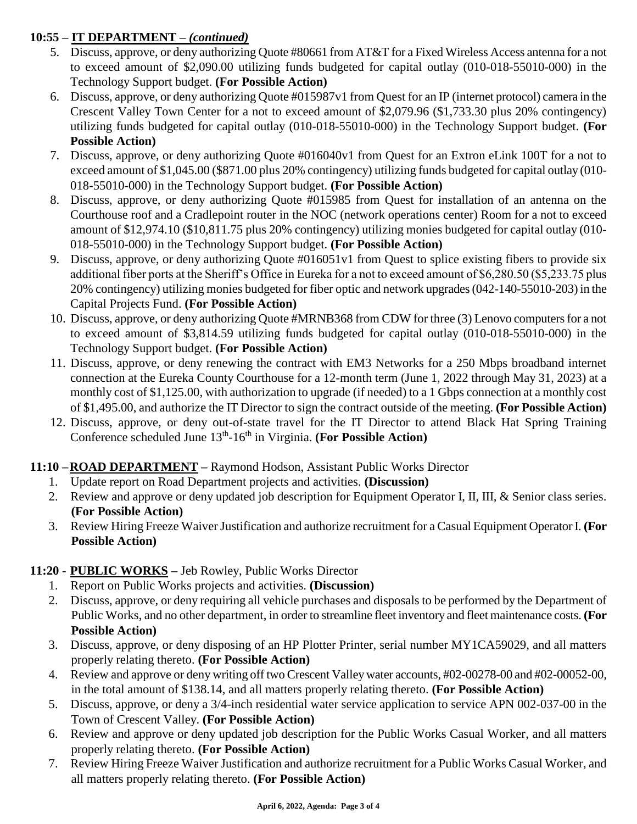# **10:55 – IT DEPARTMENT** *– (continued)*

- 5. Discuss, approve, or deny authorizing Quote #80661 from AT&T for a Fixed Wireless Access antenna for a not to exceed amount of \$2,090.00 utilizing funds budgeted for capital outlay (010-018-55010-000) in the Technology Support budget. **(For Possible Action)**
- 6. Discuss, approve, or deny authorizing Quote #015987v1 from Quest for an IP (internet protocol) camera in the Crescent Valley Town Center for a not to exceed amount of \$2,079.96 (\$1,733.30 plus 20% contingency) utilizing funds budgeted for capital outlay (010-018-55010-000) in the Technology Support budget. **(For Possible Action)**
- 7. Discuss, approve, or deny authorizing Quote #016040v1 from Quest for an Extron eLink 100T for a not to exceed amount of \$1,045.00 (\$871.00 plus 20% contingency) utilizing funds budgeted for capital outlay (010- 018-55010-000) in the Technology Support budget. **(For Possible Action)**
- 8. Discuss, approve, or deny authorizing Quote #015985 from Quest for installation of an antenna on the Courthouse roof and a Cradlepoint router in the NOC (network operations center) Room for a not to exceed amount of \$12,974.10 (\$10,811.75 plus 20% contingency) utilizing monies budgeted for capital outlay (010- 018-55010-000) in the Technology Support budget. **(For Possible Action)**
- 9. Discuss, approve, or deny authorizing Quote #016051v1 from Quest to splice existing fibers to provide six additional fiber ports at the Sheriff's Office in Eureka for a not to exceed amount of \$6,280.50 (\$5,233.75 plus 20% contingency) utilizing monies budgeted for fiber optic and network upgrades (042-140-55010-203) in the Capital Projects Fund. **(For Possible Action)**
- 10. Discuss, approve, or deny authorizing Quote #MRNB368 from CDW for three (3) Lenovo computers for a not to exceed amount of \$3,814.59 utilizing funds budgeted for capital outlay (010-018-55010-000) in the Technology Support budget. **(For Possible Action)**
- 11. Discuss, approve, or deny renewing the contract with EM3 Networks for a 250 Mbps broadband internet connection at the Eureka County Courthouse for a 12-month term (June 1, 2022 through May 31, 2023) at a monthly cost of \$1,125.00, with authorization to upgrade (if needed) to a 1 Gbps connection at a monthly cost of \$1,495.00, and authorize the IT Director to sign the contract outside of the meeting. **(For Possible Action)**
- 12. Discuss, approve, or deny out-of-state travel for the IT Director to attend Black Hat Spring Training Conference scheduled June 13<sup>th</sup>-16<sup>th</sup> in Virginia. (For Possible Action)

## **11:10 –ROAD DEPARTMENT –** Raymond Hodson, Assistant Public Works Director

- 1. Update report on Road Department projects and activities. **(Discussion)**
- 2. Review and approve or deny updated job description for Equipment Operator I, II, III, & Senior class series. **(For Possible Action)**
- 3. Review Hiring Freeze Waiver Justification and authorize recruitment for a Casual Equipment Operator I. **(For Possible Action)**

## **11:20 - PUBLIC WORKS –** Jeb Rowley, Public Works Director

- 1. Report on Public Works projects and activities. **(Discussion)**
- 2. Discuss, approve, or deny requiring all vehicle purchases and disposals to be performed by the Department of Public Works, and no other department, in order to streamline fleet inventory and fleet maintenance costs. **(For Possible Action)**
- 3. Discuss, approve, or deny disposing of an HP Plotter Printer, serial number MY1CA59029, and all matters properly relating thereto. **(For Possible Action)**
- 4. Review and approve or deny writing off two Crescent Valley water accounts, #02-00278-00 and #02-00052-00, in the total amount of \$138.14, and all matters properly relating thereto. **(For Possible Action)**
- 5. Discuss, approve, or deny a 3/4-inch residential water service application to service APN 002-037-00 in the Town of Crescent Valley. **(For Possible Action)**
- 6. Review and approve or deny updated job description for the Public Works Casual Worker, and all matters properly relating thereto. **(For Possible Action)**
- 7. Review Hiring Freeze Waiver Justification and authorize recruitment for a Public Works Casual Worker, and all matters properly relating thereto. **(For Possible Action)**